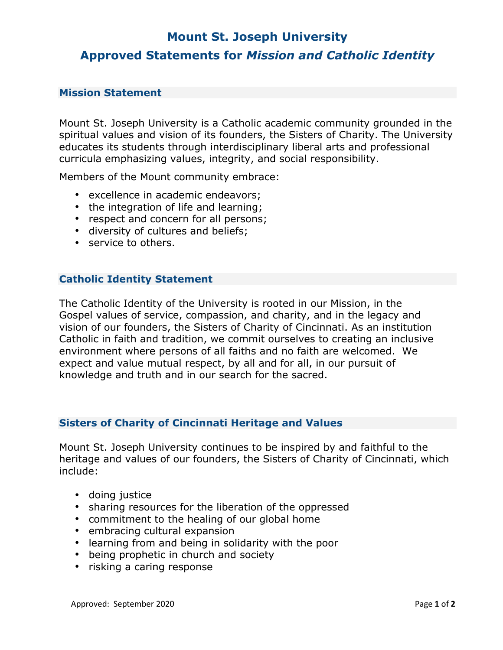# **Mount St. Joseph University Approved [Statements](https://mymount.msj.edu/ICS/Mount_Community/Mission_Integration/Proposed_Statements.jnz) for** *Mission and Catholic Identity*

#### **Mission Statement**

Mount St. Joseph University is a Catholic academic community grounded in the spiritual values and vision of its founders, the Sisters of Charity. The University educates its students through interdisciplinary liberal arts and professional curricula emphasizing values, integrity, and social responsibility.

Members of the Mount community embrace:

- excellence in academic endeavors;
- the integration of life and learning;
- respect and concern for all persons;
- diversity of cultures and beliefs;
- service to others.

#### **Catholic Identity Statement**

The Catholic Identity of the University is rooted in our Mission, in the Gospel values of service, compassion, and charity, and in the legacy and vision of our founders, the Sisters of Charity of Cincinnati. As an institution Catholic in faith and tradition, we commit ourselves to creating an inclusive environment where persons of all faiths and no faith are welcomed. We expect and value mutual respect, by all and for all, in our pursuit of knowledge and truth and in our search for the sacred.

#### **Sisters of Charity of Cincinnati Heritage and Values**

Mount St. Joseph University continues to be inspired by and faithful to the heritage and values of our founders, the Sisters of Charity of Cincinnati, which include:

- doing justice
- sharing resources for the liberation of the oppressed
- commitment to the healing of our global home
- embracing cultural expansion
- learning from and being in solidarity with the poor
- being prophetic in church and society
- risking a caring response